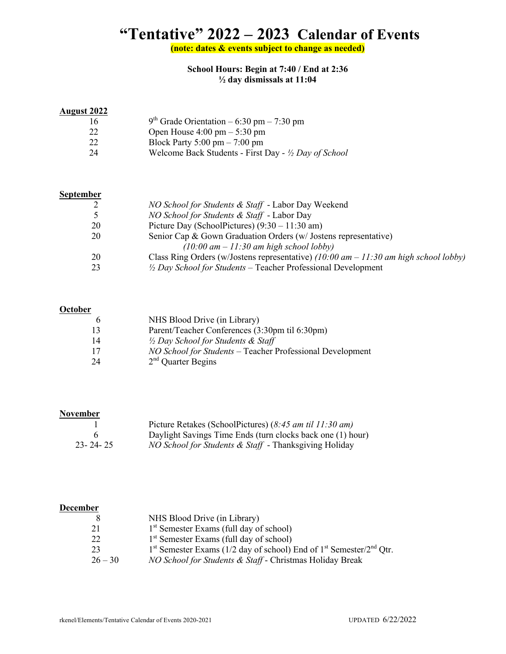# **"Tentative" 2022 – 2023 Calendar of Events**

**(note: dates & events subject to change as needed)**

**School Hours: Begin at 7:40 / End at 2:36 ½ day dismissals at 11:04**

#### **August 2022**

| 16 | $9th$ Grade Orientation – 6:30 pm – 7:30 pm           |
|----|-------------------------------------------------------|
| 22 | Open House $4:00 \text{ pm} - 5:30 \text{ pm}$        |
| 22 | Block Party 5:00 pm $- 7:00$ pm                       |
| 24 | Welcome Back Students - First Day - 1/2 Day of School |
|    |                                                       |

#### **September**

|    | NO School for Students & Staff - Labor Day Weekend                                     |
|----|----------------------------------------------------------------------------------------|
|    | <i>NO School for Students &amp; Staff</i> - Labor Day                                  |
| 20 | Picture Day (SchoolPictures) $(9:30 - 11:30 \text{ am})$                               |
| 20 | Senior Cap & Gown Graduation Orders (w/ Jostens representative)                        |
|    | $(10:00 \text{ am} - 11:30 \text{ am high school loby})$                               |
| 20 | Class Ring Orders (w/Jostens representative) (10:00 $am - 11:30$ am high school lobby) |
|    | $\frac{1}{2}$ Day School for Students – Teacher Professional Development               |

#### **October**

| h               | NHS Blood Drive (in Library)                              |
|-----------------|-----------------------------------------------------------|
| $\overline{13}$ | Parent/Teacher Conferences (3:30pm til 6:30pm)            |
| 14              | $\frac{1}{2}$ Day School for Students & Staff             |
| -17             | NO School for Students - Teacher Professional Development |
| -24             | $2nd$ Quarter Begins                                      |

#### **November**

|                | Picture Retakes (SchoolPictures) $(8:45 \text{ am til } 11:30 \text{ am})$ |
|----------------|----------------------------------------------------------------------------|
|                | Daylight Savings Time Ends (turn clocks back one (1) hour)                 |
| $23 - 24 - 25$ | <i>NO School for Students &amp; Staff</i> - Thanksgiving Holiday           |

#### **December**

|           | NHS Blood Drive (in Library)                                                                            |
|-----------|---------------------------------------------------------------------------------------------------------|
| -21       | 1 <sup>st</sup> Semester Exams (full day of school)                                                     |
| 22        | $1st$ Semester Exams (full day of school)                                                               |
| 23        | 1 <sup>st</sup> Semester Exams (1/2 day of school) End of 1 <sup>st</sup> Semester/2 <sup>nd</sup> Qtr. |
| $26 - 30$ | <i>NO School for Students &amp; Staff</i> - Christmas Holiday Break                                     |